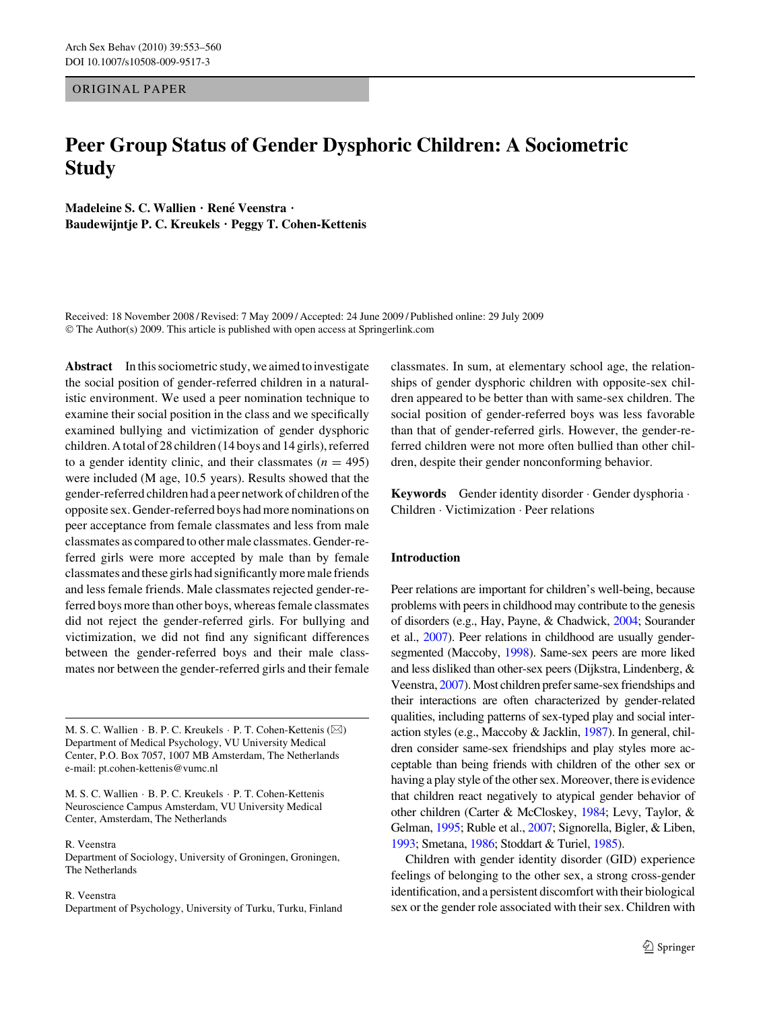ORIGINAL PAPER

# Peer Group Status of Gender Dysphoric Children: A Sociometric **Study**

Madeleine S. C. Wallien · René Veenstra · Baudewijntje P. C. Kreukels  $\cdot$  Peggy T. Cohen-Kettenis

Received: 18 November 2008 / Revised: 7 May 2009 / Accepted: 24 June 2009 / Published online: 29 July 2009  $\heartsuit$  The Author(s) 2009. This article is published with open access at Springerlink.com

Abstract In this sociometric study, we aimed to investigate the social position of gender-referred children in a naturalistic environment. We used a peer nomination technique to examine their social position in the class and we specifically examined bullying and victimization of gender dysphoric children. A total of 28 children (14 boys and 14 girls), referred to a gender identity clinic, and their classmates ( $n = 495$ ) were included (M age, 10.5 years). Results showed that the gender-referred children had a peer network of children of the opposite sex. Gender-referred boys had more nominations on peer acceptance from female classmates and less from male classmates as compared to other male classmates. Gender-referred girls were more accepted by male than by female classmates and these girls had significantly more male friends and less female friends. Male classmates rejected gender-referred boys more than other boys, whereas female classmates did not reject the gender-referred girls. For bullying and victimization, we did not find any significant differences between the gender-referred boys and their male classmates nor between the gender-referred girls and their female

M. S. C. Wallien  $\cdot$  B. P. C. Kreukels  $\cdot$  P. T. Cohen-Kettenis ( $\boxtimes$ ) Department of Medical Psychology, VU University Medical Center, P.O. Box 7057, 1007 MB Amsterdam, The Netherlands e-mail: pt.cohen-kettenis@vumc.nl

M. S. C. Wallien · B. P. C. Kreukels · P. T. Cohen-Kettenis Neuroscience Campus Amsterdam, VU University Medical Center, Amsterdam, The Netherlands

R. Veenstra

Department of Sociology, University of Groningen, Groningen, The Netherlands

R. Veenstra Department of Psychology, University of Turku, Turku, Finland classmates. In sum, at elementary school age, the relationships of gender dysphoric children with opposite-sex children appeared to be better than with same-sex children. The social position of gender-referred boys was less favorable than that of gender-referred girls. However, the gender-referred children were not more often bullied than other children, despite their gender nonconforming behavior.

Keywords Gender identity disorder Gender dysphoria · Children · Victimization · Peer relations

#### Introduction

Peer relations are important for children's well-being, because problems with peers in childhood may contribute to the genesis of disorders (e.g., Hay, Payne, & Chadwick, [2004](#page-6-0); Sourander et al., [2007\)](#page-7-0). Peer relations in childhood are usually gendersegmented (Maccoby, [1998](#page-6-0)). Same-sex peers are more liked and less disliked than other-sex peers (Dijkstra, Lindenberg, & Veenstra, [2007](#page-6-0)). Most children prefer same-sex friendships and their interactions are often characterized by gender-related qualities, including patterns of sex-typed play and social interaction styles (e.g., Maccoby & Jacklin, [1987\)](#page-6-0). In general, children consider same-sex friendships and play styles more acceptable than being friends with children of the other sex or having a play style of the other sex. Moreover, there is evidence that children react negatively to atypical gender behavior of other children (Carter & McCloskey, [1984;](#page-6-0) Levy, Taylor, & Gelman, [1995](#page-6-0); Ruble et al., [2007](#page-7-0); Signorella, Bigler, & Liben, [1993](#page-7-0); Smetana, [1986](#page-7-0); Stoddart & Turiel, [1985\)](#page-7-0).

Children with gender identity disorder (GID) experience feelings of belonging to the other sex, a strong cross-gender identification, and a persistent discomfort with their biological sex or the gender role associated with their sex. Children with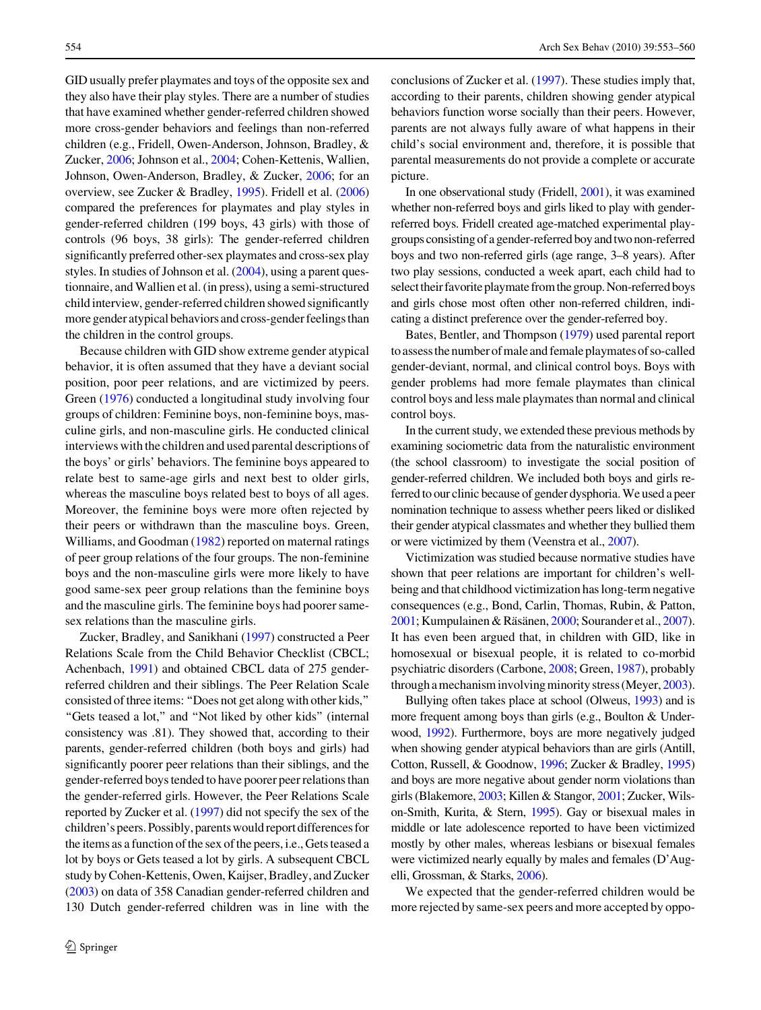GID usually prefer playmates and toys of the opposite sex and they also have their play styles. There are a number of studies that have examined whether gender-referred children showed more cross-gender behaviors and feelings than non-referred children (e.g., Fridell, Owen-Anderson, Johnson, Bradley, & Zucker, [2006;](#page-6-0) Johnson et al., [2004;](#page-6-0) Cohen-Kettenis, Wallien, Johnson, Owen-Anderson, Bradley, & Zucker, [2006](#page-6-0); for an overview, see Zucker & Bradley, [1995](#page-7-0)). Fridell et al. [\(2006\)](#page-6-0) compared the preferences for playmates and play styles in gender-referred children (199 boys, 43 girls) with those of controls (96 boys, 38 girls): The gender-referred children significantly preferred other-sex playmates and cross-sex play styles. In studies of Johnson et al. ([2004](#page-6-0)), using a parent questionnaire, and Wallien et al. (in press), using a semi-structured child interview, gender-referred children showed significantly more gender atypical behaviors and cross-gender feelings than the children in the control groups.

Because children with GID show extreme gender atypical behavior, it is often assumed that they have a deviant social position, poor peer relations, and are victimized by peers. Green [\(1976](#page-6-0)) conducted a longitudinal study involving four groups of children: Feminine boys, non-feminine boys, masculine girls, and non-masculine girls. He conducted clinical interviews with the children and used parental descriptions of the boys' or girls' behaviors. The feminine boys appeared to relate best to same-age girls and next best to older girls, whereas the masculine boys related best to boys of all ages. Moreover, the feminine boys were more often rejected by their peers or withdrawn than the masculine boys. Green, Williams, and Goodman ([1982\)](#page-6-0) reported on maternal ratings of peer group relations of the four groups. The non-feminine boys and the non-masculine girls were more likely to have good same-sex peer group relations than the feminine boys and the masculine girls. The feminine boys had poorer samesex relations than the masculine girls.

Zucker, Bradley, and Sanikhani [\(1997\)](#page-7-0) constructed a Peer Relations Scale from the Child Behavior Checklist (CBCL; Achenbach, [1991](#page-6-0)) and obtained CBCL data of 275 genderreferred children and their siblings. The Peer Relation Scale consisted of three items: ''Does not get along with other kids,'' "Gets teased a lot," and "Not liked by other kids" (internal consistency was .81). They showed that, according to their parents, gender-referred children (both boys and girls) had significantly poorer peer relations than their siblings, and the gender-referred boys tended to have poorer peer relations than the gender-referred girls. However, the Peer Relations Scale reported by Zucker et al. [\(1997\)](#page-7-0) did not specify the sex of the children's peers. Possibly, parents would report differences for the items as a function of the sex of the peers, i.e., Gets teased a lot by boys or Gets teased a lot by girls. A subsequent CBCL study by Cohen-Kettenis, Owen, Kaijser, Bradley, and Zucker [\(2003\)](#page-6-0) on data of 358 Canadian gender-referred children and 130 Dutch gender-referred children was in line with the conclusions of Zucker et al. [\(1997\)](#page-7-0). These studies imply that, according to their parents, children showing gender atypical behaviors function worse socially than their peers. However, parents are not always fully aware of what happens in their child's social environment and, therefore, it is possible that parental measurements do not provide a complete or accurate picture.

In one observational study (Fridell, [2001\)](#page-6-0), it was examined whether non-referred boys and girls liked to play with genderreferred boys. Fridell created age-matched experimental playgroups consisting of a gender-referred boy and two non-referred boys and two non-referred girls (age range, 3–8 years). After two play sessions, conducted a week apart, each child had to select their favorite playmate from the group. Non-referred boys and girls chose most often other non-referred children, indicating a distinct preference over the gender-referred boy.

Bates, Bentler, and Thompson ([1979](#page-6-0)) used parental report to assess the number of male and female playmates of so-called gender-deviant, normal, and clinical control boys. Boys with gender problems had more female playmates than clinical control boys and less male playmates than normal and clinical control boys.

In the current study, we extended these previous methods by examining sociometric data from the naturalistic environment (the school classroom) to investigate the social position of gender-referred children. We included both boys and girls referred to our clinic because of gender dysphoria. We used a peer nomination technique to assess whether peers liked or disliked their gender atypical classmates and whether they bullied them or were victimized by them (Veenstra et al., [2007\)](#page-7-0).

Victimization was studied because normative studies have shown that peer relations are important for children's wellbeing and that childhood victimization has long-term negative consequences (e.g., Bond, Carlin, Thomas, Rubin, & Patton,  $2001$ ; Kumpulainen & Räsänen,  $2000$ ; Sourander et al.,  $2007$ ). It has even been argued that, in children with GID, like in homosexual or bisexual people, it is related to co-morbid psychiatric disorders (Carbone, [2008](#page-6-0); Green, [1987\)](#page-6-0), probably through amechanisminvolving minoritystress(Meyer, [2003\)](#page-6-0).

Bullying often takes place at school (Olweus, [1993](#page-6-0)) and is more frequent among boys than girls (e.g., Boulton & Underwood, [1992](#page-6-0)). Furthermore, boys are more negatively judged when showing gender atypical behaviors than are girls (Antill, Cotton, Russell, & Goodnow, [1996;](#page-6-0) Zucker & Bradley, [1995\)](#page-7-0) and boys are more negative about gender norm violations than girls (Blakemore, [2003;](#page-6-0) Killen & Stangor, [2001;](#page-6-0) Zucker, Wilson-Smith, Kurita, & Stern, [1995\)](#page-7-0). Gay or bisexual males in middle or late adolescence reported to have been victimized mostly by other males, whereas lesbians or bisexual females were victimized nearly equally by males and females (D'Augelli, Grossman, & Starks, [2006\)](#page-6-0).

We expected that the gender-referred children would be more rejected by same-sex peers and more accepted by oppo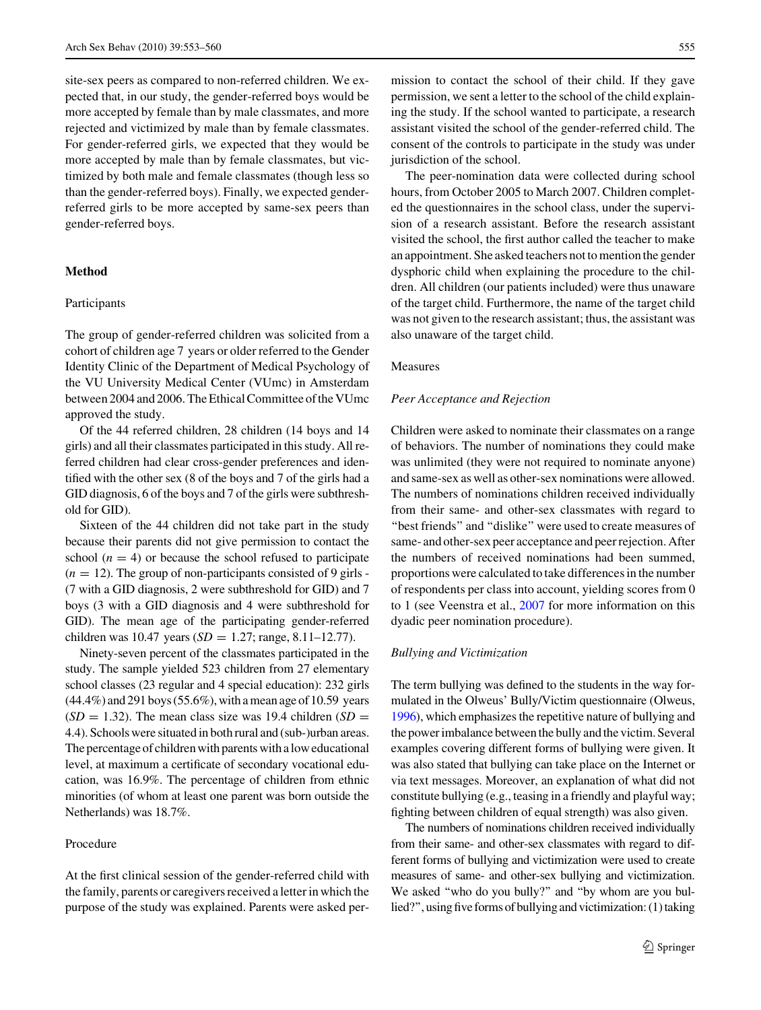site-sex peers as compared to non-referred children. We expected that, in our study, the gender-referred boys would be more accepted by female than by male classmates, and more rejected and victimized by male than by female classmates. For gender-referred girls, we expected that they would be more accepted by male than by female classmates, but victimized by both male and female classmates (though less so than the gender-referred boys). Finally, we expected genderreferred girls to be more accepted by same-sex peers than gender-referred boys.

# Method

## Participants

The group of gender-referred children was solicited from a cohort of children age 7 years or older referred to the Gender Identity Clinic of the Department of Medical Psychology of the VU University Medical Center (VUmc) in Amsterdam between 2004 and 2006. The Ethical Committee of the VUmc approved the study.

Of the 44 referred children, 28 children (14 boys and 14 girls) and all their classmates participated in this study. All referred children had clear cross-gender preferences and identified with the other sex (8 of the boys and 7 of the girls had a GID diagnosis, 6 of the boys and 7 of the girls were subthreshold for GID).

Sixteen of the 44 children did not take part in the study because their parents did not give permission to contact the school  $(n = 4)$  or because the school refused to participate  $(n = 12)$ . The group of non-participants consisted of 9 girls -(7 with a GID diagnosis, 2 were subthreshold for GID) and 7 boys (3 with a GID diagnosis and 4 were subthreshold for GID). The mean age of the participating gender-referred children was 10.47 years ( $SD = 1.27$ ; range, 8.11–12.77).

Ninety-seven percent of the classmates participated in the study. The sample yielded 523 children from 27 elementary school classes (23 regular and 4 special education): 232 girls  $(44.4\%)$  and 291 boys (55.6%), with a mean age of 10.59 years  $(SD = 1.32)$ . The mean class size was 19.4 children  $(SD = 1.32)$ . 4.4). Schools were situated in both rural and (sub-)urban areas. The percentage of children with parents with a low educational level, at maximum a certificate of secondary vocational education, was 16.9%. The percentage of children from ethnic minorities (of whom at least one parent was born outside the Netherlands) was 18.7%.

# Procedure

At the first clinical session of the gender-referred child with the family, parents or caregivers received a letter in which the purpose of the study was explained. Parents were asked permission to contact the school of their child. If they gave permission, we sent a letter to the school of the child explaining the study. If the school wanted to participate, a research assistant visited the school of the gender-referred child. The consent of the controls to participate in the study was under jurisdiction of the school.

The peer-nomination data were collected during school hours, from October 2005 to March 2007. Children completed the questionnaires in the school class, under the supervision of a research assistant. Before the research assistant visited the school, the first author called the teacher to make an appointment. She asked teachers not to mention the gender dysphoric child when explaining the procedure to the children. All children (our patients included) were thus unaware of the target child. Furthermore, the name of the target child was not given to the research assistant; thus, the assistant was also unaware of the target child.

#### Measures

#### Peer Acceptance and Rejection

Children were asked to nominate their classmates on a range of behaviors. The number of nominations they could make was unlimited (they were not required to nominate anyone) and same-sex as well as other-sex nominations were allowed. The numbers of nominations children received individually from their same- and other-sex classmates with regard to ''best friends'' and ''dislike'' were used to create measures of same- and other-sex peer acceptance and peer rejection. After the numbers of received nominations had been summed, proportions were calculated to take differences in the number of respondents per class into account, yielding scores from 0 to 1 (see Veenstra et al., [2007](#page-7-0) for more information on this dyadic peer nomination procedure).

## Bullying and Victimization

The term bullying was defined to the students in the way formulated in the Olweus' Bully/Victim questionnaire (Olweus, [1996\)](#page-6-0), which emphasizes the repetitive nature of bullying and the power imbalance between the bully and the victim. Several examples covering different forms of bullying were given. It was also stated that bullying can take place on the Internet or via text messages. Moreover, an explanation of what did not constitute bullying (e.g., teasing in a friendly and playful way; fighting between children of equal strength) was also given.

The numbers of nominations children received individually from their same- and other-sex classmates with regard to different forms of bullying and victimization were used to create measures of same- and other-sex bullying and victimization. We asked "who do you bully?" and "by whom are you bullied?'', using five forms of bullying and victimization: (1) taking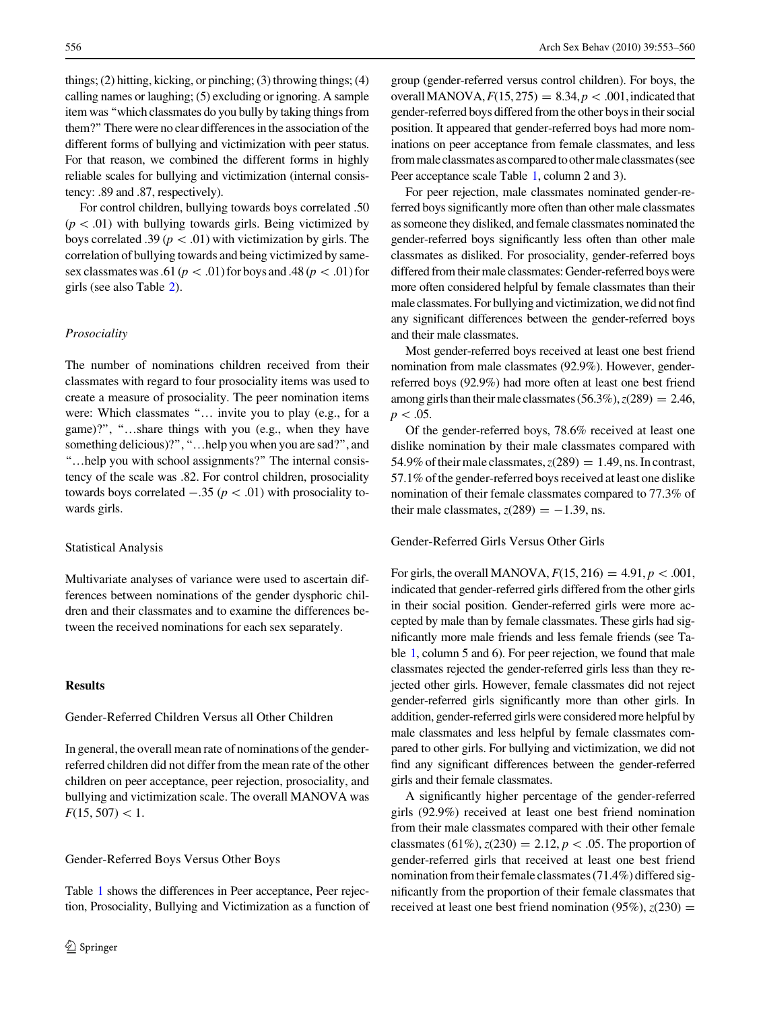things; (2) hitting, kicking, or pinching; (3) throwing things; (4) calling names or laughing; (5) excluding or ignoring. A sample item was ''which classmates do you bully by taking things from them?'' There were no clear differences in the association of the different forms of bullying and victimization with peer status. For that reason, we combined the different forms in highly reliable scales for bullying and victimization (internal consistency: .89 and .87, respectively).

For control children, bullying towards boys correlated .50  $(p\lt 0.01)$  with bullying towards girls. Being victimized by boys correlated .39 ( $p\lt 0.01$ ) with victimization by girls. The correlation of bullying towards and being victimized by samesex classmates was .61 ( $p\lt 0.01$ ) for boys and .48 ( $p\lt 0.01$ ) for girls (see also Table [2](#page-4-0)).

# **Prosociality**

The number of nominations children received from their classmates with regard to four prosociality items was used to create a measure of prosociality. The peer nomination items were: Which classmates "... invite you to play (e.g., for a game)?'', ''…share things with you (e.g., when they have something delicious)?", "...help you when you are sad?", and ''…help you with school assignments?'' The internal consistency of the scale was .82. For control children, prosociality towards boys correlated  $-.35$  ( $p\lt.01$ ) with prosociality towards girls.

#### Statistical Analysis

Multivariate analyses of variance were used to ascertain differences between nominations of the gender dysphoric children and their classmates and to examine the differences between the received nominations for each sex separately.

# Results

# Gender-Referred Children Versus all Other Children

In general, the overall mean rate of nominations of the genderreferred children did not differ from the mean rate of the other children on peer acceptance, peer rejection, prosociality, and bullying and victimization scale. The overall MANOVA was  $F(15, 507) < 1.$ 

# Gender-Referred Boys Versus Other Boys

Table [1](#page-4-0) shows the differences in Peer acceptance, Peer rejection, Prosociality, Bullying and Victimization as a function of group (gender-referred versus control children). For boys, the overall MANOVA,  $F(15,275) = 8.34, p < .001$ , indicated that gender-referred boys differed from the other boys in their social position. It appeared that gender-referred boys had more nominations on peer acceptance from female classmates, and less from male classmates as compared to other male classmates (see Peer acceptance scale Table [1](#page-4-0), column 2 and 3).

For peer rejection, male classmates nominated gender-referred boys significantly more often than other male classmates as someone they disliked, and female classmates nominated the gender-referred boys significantly less often than other male classmates as disliked. For prosociality, gender-referred boys differed from their male classmates: Gender-referred boys were more often considered helpful by female classmates than their male classmates. For bullying and victimization, we did not find any significant differences between the gender-referred boys and their male classmates.

Most gender-referred boys received at least one best friend nomination from male classmates (92.9%). However, genderreferred boys (92.9%) had more often at least one best friend among girls than their male classmates (56.3%),  $z(289) = 2.46$ ,  $p\,<\,05.$ 

Of the gender-referred boys, 78.6% received at least one dislike nomination by their male classmates compared with 54.9% of their male classmates,  $z(289) = 1.49$ , ns. In contrast, 57.1% of the gender-referred boys received at least one dislike nomination of their female classmates compared to 77.3% of their male classmates,  $z(289) = -1.39$ , ns.

# Gender-Referred Girls Versus Other Girls

For girls, the overall MANOVA,  $F(15, 216) = 4.91, p \lt .001$ , indicated that gender-referred girls differed from the other girls in their social position. Gender-referred girls were more accepted by male than by female classmates. These girls had significantly more male friends and less female friends (see Table [1,](#page-4-0) column 5 and 6). For peer rejection, we found that male classmates rejected the gender-referred girls less than they rejected other girls. However, female classmates did not reject gender-referred girls significantly more than other girls. In addition, gender-referred girls were considered more helpful by male classmates and less helpful by female classmates compared to other girls. For bullying and victimization, we did not find any significant differences between the gender-referred girls and their female classmates.

A significantly higher percentage of the gender-referred girls (92.9%) received at least one best friend nomination from their male classmates compared with their other female classmates (61%),  $z(230) = 2.12$ ,  $p < .05$ . The proportion of gender-referred girls that received at least one best friend nomination from their female classmates (71.4%) differed significantly from the proportion of their female classmates that received at least one best friend nomination (95%),  $z(230)$  =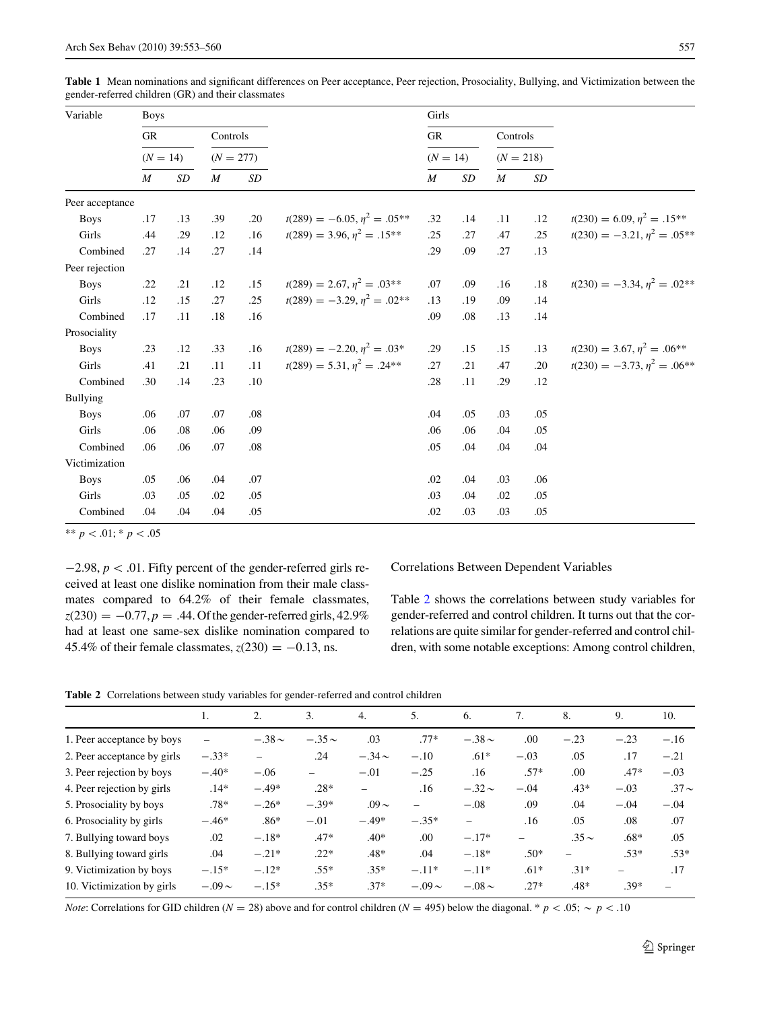| <b>GR</b><br>Controls<br><b>GR</b><br>Controls<br>$(N = 14)$<br>$(N = 14)$<br>$(N = 218)$<br>$(N = 277)$<br>$\boldsymbol{M}$<br>$\boldsymbol{M}$<br>$\boldsymbol{M}$<br>$\boldsymbol{M}$<br>SD<br>SD<br>SD<br>SD<br>$t(289) = -6.05, \eta^2 = .05**$<br>$t(230) = 6.09, \eta^2 = .15**$<br>.17<br>.20<br>.32<br>.14<br>.11<br>.12<br>.13<br>.39<br><b>Boys</b><br>$t(230) = -3.21, \eta^2 = .05**$<br>$t(289) = 3.96, \eta^2 = .15**$<br>.25<br>.16<br>.47<br>Girls<br>.44<br>.29<br>.12<br>.25<br>.27<br>Combined<br>.27<br>.14<br>.27<br>.14<br>.29<br>.09<br>.27<br>.13<br>$t(289) = 2.67, \eta^2 = .03**$<br>$t(230) = -3.34, \eta^2 = .02**$<br>.15<br>.18<br>.22<br>.12<br>.07<br>.09<br>.16<br>.21<br><b>Boys</b><br>$t(289) = -3.29, \eta^2 = .02**$<br>.25<br>Girls<br>.12<br>.13<br>.15<br>.27<br>.19<br>.09<br>.14<br>Combined<br>.17<br>.11<br>.18<br>.09<br>.08<br>.13<br>.16<br>.14 |  |
|---------------------------------------------------------------------------------------------------------------------------------------------------------------------------------------------------------------------------------------------------------------------------------------------------------------------------------------------------------------------------------------------------------------------------------------------------------------------------------------------------------------------------------------------------------------------------------------------------------------------------------------------------------------------------------------------------------------------------------------------------------------------------------------------------------------------------------------------------------------------------------------------------|--|
|                                                                                                                                                                                                                                                                                                                                                                                                                                                                                                                                                                                                                                                                                                                                                                                                                                                                                                   |  |
| Peer acceptance<br>Peer rejection<br>Prosociality                                                                                                                                                                                                                                                                                                                                                                                                                                                                                                                                                                                                                                                                                                                                                                                                                                                 |  |
|                                                                                                                                                                                                                                                                                                                                                                                                                                                                                                                                                                                                                                                                                                                                                                                                                                                                                                   |  |
|                                                                                                                                                                                                                                                                                                                                                                                                                                                                                                                                                                                                                                                                                                                                                                                                                                                                                                   |  |
|                                                                                                                                                                                                                                                                                                                                                                                                                                                                                                                                                                                                                                                                                                                                                                                                                                                                                                   |  |
|                                                                                                                                                                                                                                                                                                                                                                                                                                                                                                                                                                                                                                                                                                                                                                                                                                                                                                   |  |
|                                                                                                                                                                                                                                                                                                                                                                                                                                                                                                                                                                                                                                                                                                                                                                                                                                                                                                   |  |
|                                                                                                                                                                                                                                                                                                                                                                                                                                                                                                                                                                                                                                                                                                                                                                                                                                                                                                   |  |
|                                                                                                                                                                                                                                                                                                                                                                                                                                                                                                                                                                                                                                                                                                                                                                                                                                                                                                   |  |
|                                                                                                                                                                                                                                                                                                                                                                                                                                                                                                                                                                                                                                                                                                                                                                                                                                                                                                   |  |
|                                                                                                                                                                                                                                                                                                                                                                                                                                                                                                                                                                                                                                                                                                                                                                                                                                                                                                   |  |
|                                                                                                                                                                                                                                                                                                                                                                                                                                                                                                                                                                                                                                                                                                                                                                                                                                                                                                   |  |
| $t(289) = -2.20, \eta^2 = .03^*$<br>$t(230) = 3.67, \eta^2 = .06**$<br>.13<br>.23<br>.33<br>.16<br>.15<br>.15<br>.12<br>.29<br><b>Boys</b>                                                                                                                                                                                                                                                                                                                                                                                                                                                                                                                                                                                                                                                                                                                                                        |  |
| $t(289) = 5.31, \eta^2 = .24**$<br>$t(230) = -3.73, \eta^2 = .06**$<br>.11<br>.20<br>.21<br>Girls<br>.41<br>.21<br>.11<br>.27<br>.47                                                                                                                                                                                                                                                                                                                                                                                                                                                                                                                                                                                                                                                                                                                                                              |  |
| Combined<br>.30<br>.14<br>.23<br>.10<br>.28<br>.11<br>.29<br>.12                                                                                                                                                                                                                                                                                                                                                                                                                                                                                                                                                                                                                                                                                                                                                                                                                                  |  |
| <b>Bullying</b>                                                                                                                                                                                                                                                                                                                                                                                                                                                                                                                                                                                                                                                                                                                                                                                                                                                                                   |  |
| .08<br>.05<br>.05<br>.06<br>.07<br>.07<br>.04<br>.03<br><b>Boys</b>                                                                                                                                                                                                                                                                                                                                                                                                                                                                                                                                                                                                                                                                                                                                                                                                                               |  |
| .06<br>Girls<br>.08<br>.06<br>.09<br>.06<br>.06<br>.04<br>.05                                                                                                                                                                                                                                                                                                                                                                                                                                                                                                                                                                                                                                                                                                                                                                                                                                     |  |
| Combined<br>.06<br>.08<br>.05<br>.06<br>.07<br>.04<br>.04<br>.04                                                                                                                                                                                                                                                                                                                                                                                                                                                                                                                                                                                                                                                                                                                                                                                                                                  |  |
| Victimization                                                                                                                                                                                                                                                                                                                                                                                                                                                                                                                                                                                                                                                                                                                                                                                                                                                                                     |  |
| .07<br>.05<br>.06<br>.04<br>.02<br>.04<br>.03<br>.06<br><b>Boys</b>                                                                                                                                                                                                                                                                                                                                                                                                                                                                                                                                                                                                                                                                                                                                                                                                                               |  |
| .03<br>.05<br>.03<br>Girls<br>.02<br>.05<br>.04<br>.02<br>.05                                                                                                                                                                                                                                                                                                                                                                                                                                                                                                                                                                                                                                                                                                                                                                                                                                     |  |
| .04<br>.05<br>.02<br>.03<br>.03<br>Combined<br>.04<br>.04<br>.05                                                                                                                                                                                                                                                                                                                                                                                                                                                                                                                                                                                                                                                                                                                                                                                                                                  |  |

<span id="page-4-0"></span>Table 1 Mean nominations and significant differences on Peer acceptance, Peer rejection, Prosociality, Bullying, and Victimization between the gender-referred children (GR) and their classmates

\*\*  $p$  < .01; \*  $p$  < .05

 $-2.98$ ,  $p < 0.01$ . Fifty percent of the gender-referred girls received at least one dislike nomination from their male classmates compared to 64.2% of their female classmates,  $z(230) = -0.77$ ,  $p = .44$ . Of the gender-referred girls, 42.9% had at least one same-sex dislike nomination compared to 45.4% of their female classmates,  $z(230) = -0.13$ , ns.

Correlations Between Dependent Variables

Table 2 shows the correlations between study variables for gender-referred and control children. It turns out that the correlations are quite similar for gender-referred and control children, with some notable exceptions: Among control children,

Table 2 Correlations between study variables for gender-referred and control children

|                             | 1.         | 2.                       | 3.          | 4.          | 5.                       | 6.                       | 7.                       | 8.         | 9.     | 10.                      |
|-----------------------------|------------|--------------------------|-------------|-------------|--------------------------|--------------------------|--------------------------|------------|--------|--------------------------|
| 1. Peer acceptance by boys  | -          | $-.38 \sim$              | $-.35 \sim$ | .03         | $.77*$                   | $-.38 \sim$              | .00                      | $-.23$     | $-.23$ | $-.16$                   |
| 2. Peer acceptance by girls | $-.33*$    | $\overline{\phantom{0}}$ | .24         | $-.34 \sim$ | $-.10$                   | $.61*$                   | $-.03$                   | .05        | .17    | $-.21$                   |
| 3. Peer rejection by boys   | $-.40*$    | $-.06$                   | $=$         | $-.01$      | $-.25$                   | .16                      | $.57*$                   | .00        | $.47*$ | $-.03$                   |
| 4. Peer rejection by girls  | $.14*$     | $-.49*$                  | $.28*$      | -           | .16                      | $-.32 \sim$              | $-.04$                   | $.43*$     | $-.03$ | $.37 \sim$               |
| 5. Prosociality by boys     | $.78*$     | $-.26*$                  | $-.39*$     | $.09 \sim$  | $\overline{\phantom{0}}$ | $-.08$                   | .09                      | .04        | $-.04$ | $-.04$                   |
| 6. Prosociality by girls    | $-.46*$    | $.86*$                   | $-.01$      | $-.49*$     | $-.35*$                  | $\overline{\phantom{0}}$ | .16                      | .05        | .08    | .07                      |
| 7. Bullying toward boys     | .02        | $-.18*$                  | $.47*$      | $.40*$      | .00                      | $-.17*$                  | $\overline{\phantom{0}}$ | $.35 \sim$ | $.68*$ | .05                      |
| 8. Bullying toward girls    | .04        | $-.21*$                  | $.22*$      | $.48*$      | .04                      | $-.18*$                  | $.50*$                   | $\equiv$   | $.53*$ | $.53*$                   |
| 9. Victimization by boys    | $-.15*$    | $-.12*$                  | $.55*$      | $.35*$      | $-.11*$                  | $-.11*$                  | $.61*$                   | $.31*$     | -      | .17                      |
| 10. Victimization by girls  | $-.09\sim$ | $-.15*$                  | $.35*$      | $.37*$      | $-.09\sim$               | $-.08\sim$               | $.27*$                   | $.48*$     | $.39*$ | $\overline{\phantom{0}}$ |

*Note:* Correlations for GID children ( $N = 28$ ) above and for control children ( $N = 495$ ) below the diagonal. \*  $p < .05$ ; ~  $p < .10$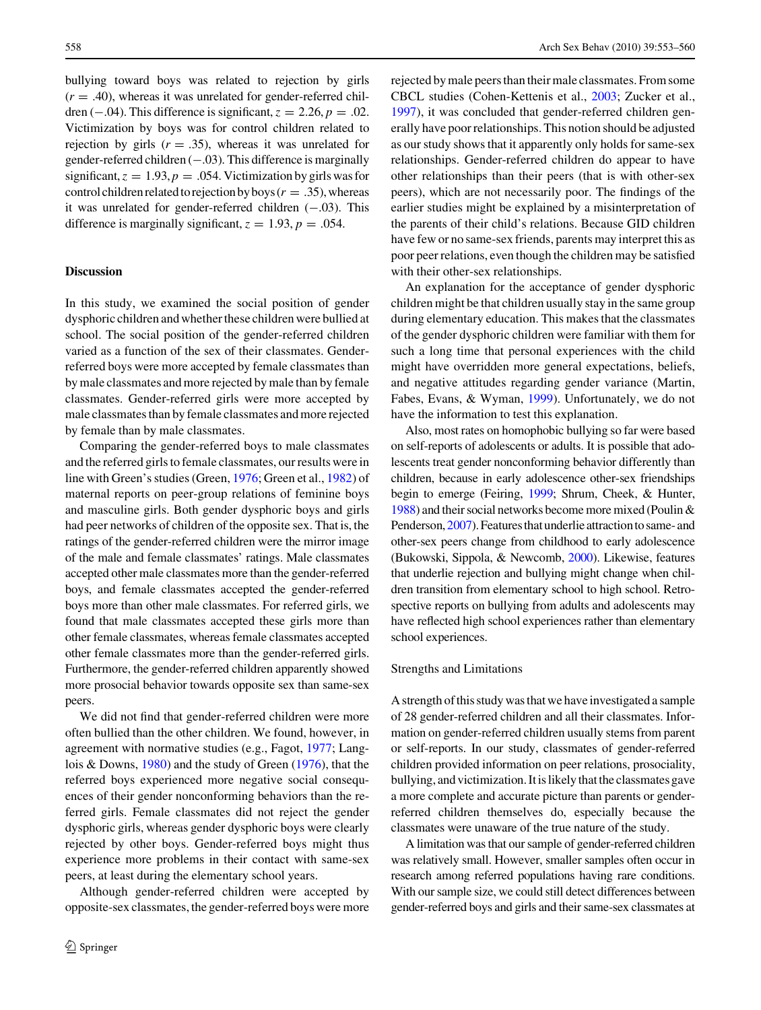bullying toward boys was related to rejection by girls  $(r = .40)$ , whereas it was unrelated for gender-referred children (-.04). This difference is significant,  $z = 2.26$ ,  $p = .02$ . Victimization by boys was for control children related to rejection by girls  $(r = .35)$ , whereas it was unrelated for gender-referred children  $(-.03)$ . This difference is marginally significant,  $z = 1.93, p = .054$ . Victimization by girls was for control children related to rejection by boys ( $r = .35$ ), whereas it was unrelated for gender-referred children  $(-.03)$ . This difference is marginally significant,  $z = 1.93$ ,  $p = .054$ .

# **Discussion**

In this study, we examined the social position of gender dysphoric children and whether these children were bullied at school. The social position of the gender-referred children varied as a function of the sex of their classmates. Genderreferred boys were more accepted by female classmates than by male classmates and more rejected by male than by female classmates. Gender-referred girls were more accepted by male classmates than by female classmates and more rejected by female than by male classmates.

Comparing the gender-referred boys to male classmates and the referred girls to female classmates, our results were in line with Green's studies (Green, [1976](#page-6-0); Green et al., [1982\)](#page-6-0) of maternal reports on peer-group relations of feminine boys and masculine girls. Both gender dysphoric boys and girls had peer networks of children of the opposite sex. That is, the ratings of the gender-referred children were the mirror image of the male and female classmates' ratings. Male classmates accepted other male classmates more than the gender-referred boys, and female classmates accepted the gender-referred boys more than other male classmates. For referred girls, we found that male classmates accepted these girls more than other female classmates, whereas female classmates accepted other female classmates more than the gender-referred girls. Furthermore, the gender-referred children apparently showed more prosocial behavior towards opposite sex than same-sex peers.

We did not find that gender-referred children were more often bullied than the other children. We found, however, in agreement with normative studies (e.g., Fagot, [1977;](#page-6-0) Langlois & Downs, [1980\)](#page-6-0) and the study of Green ([1976\)](#page-6-0), that the referred boys experienced more negative social consequences of their gender nonconforming behaviors than the referred girls. Female classmates did not reject the gender dysphoric girls, whereas gender dysphoric boys were clearly rejected by other boys. Gender-referred boys might thus experience more problems in their contact with same-sex peers, at least during the elementary school years.

Although gender-referred children were accepted by opposite-sex classmates, the gender-referred boys were more rejected by male peers than their male classmates. From some CBCL studies (Cohen-Kettenis et al., [2003](#page-6-0); Zucker et al., [1997](#page-7-0)), it was concluded that gender-referred children generally have poor relationships. This notion should be adjusted as our study shows that it apparently only holds for same-sex relationships. Gender-referred children do appear to have other relationships than their peers (that is with other-sex peers), which are not necessarily poor. The findings of the earlier studies might be explained by a misinterpretation of the parents of their child's relations. Because GID children have few or no same-sex friends, parents may interpret this as poor peer relations, even though the children may be satisfied with their other-sex relationships.

An explanation for the acceptance of gender dysphoric children might be that children usually stay in the same group during elementary education. This makes that the classmates of the gender dysphoric children were familiar with them for such a long time that personal experiences with the child might have overridden more general expectations, beliefs, and negative attitudes regarding gender variance (Martin, Fabes, Evans, & Wyman, [1999](#page-6-0)). Unfortunately, we do not have the information to test this explanation.

Also, most rates on homophobic bullying so far were based on self-reports of adolescents or adults. It is possible that adolescents treat gender nonconforming behavior differently than children, because in early adolescence other-sex friendships begin to emerge (Feiring, [1999;](#page-6-0) Shrum, Cheek, & Hunter, [1988\)](#page-7-0) and their social networks become more mixed (Poulin & Penderson, [2007](#page-7-0)). Features that underlie attraction to same-and other-sex peers change from childhood to early adolescence (Bukowski, Sippola, & Newcomb, [2000](#page-6-0)). Likewise, features that underlie rejection and bullying might change when children transition from elementary school to high school. Retrospective reports on bullying from adults and adolescents may have reflected high school experiences rather than elementary school experiences.

#### Strengths and Limitations

A strength of this study was that we have investigated a sample of 28 gender-referred children and all their classmates. Information on gender-referred children usually stems from parent or self-reports. In our study, classmates of gender-referred children provided information on peer relations, prosociality, bullying, and victimization. It is likely that the classmates gave a more complete and accurate picture than parents or genderreferred children themselves do, especially because the classmates were unaware of the true nature of the study.

A limitation was that our sample of gender-referred children was relatively small. However, smaller samples often occur in research among referred populations having rare conditions. With our sample size, we could still detect differences between gender-referred boys and girls and their same-sex classmates at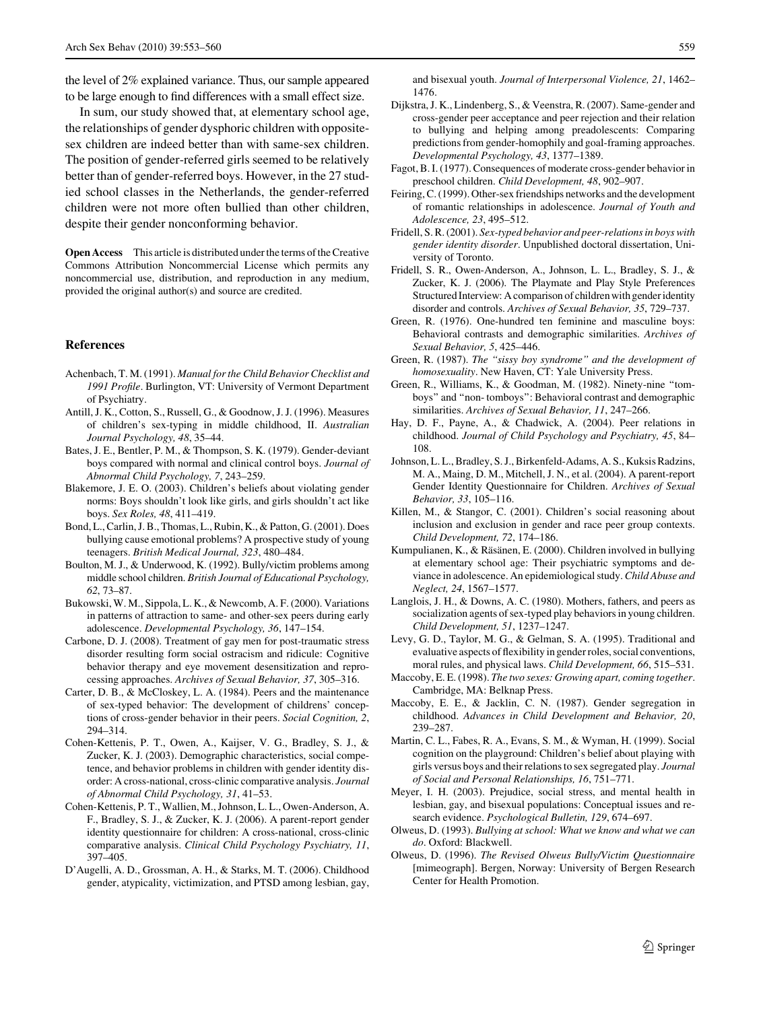<span id="page-6-0"></span>the level of 2% explained variance. Thus, our sample appeared to be large enough to find differences with a small effect size.

In sum, our study showed that, at elementary school age, the relationships of gender dysphoric children with oppositesex children are indeed better than with same-sex children. The position of gender-referred girls seemed to be relatively better than of gender-referred boys. However, in the 27 studied school classes in the Netherlands, the gender-referred children were not more often bullied than other children, despite their gender nonconforming behavior.

Open Access This article is distributed under the terms of the Creative Commons Attribution Noncommercial License which permits any noncommercial use, distribution, and reproduction in any medium, provided the original author(s) and source are credited.

#### References

- Achenbach, T. M. (1991). Manual for the Child Behavior Checklist and 1991 Profile. Burlington, VT: University of Vermont Department of Psychiatry.
- Antill, J. K., Cotton, S., Russell, G., & Goodnow, J. J. (1996). Measures of children's sex-typing in middle childhood, II. Australian Journal Psychology, 48, 35–44.
- Bates, J. E., Bentler, P. M., & Thompson, S. K. (1979). Gender-deviant boys compared with normal and clinical control boys. Journal of Abnormal Child Psychology, 7, 243–259.
- Blakemore, J. E. O. (2003). Children's beliefs about violating gender norms: Boys shouldn't look like girls, and girls shouldn't act like boys. Sex Roles, 48, 411–419.
- Bond, L., Carlin, J. B., Thomas, L., Rubin, K., & Patton, G. (2001). Does bullying cause emotional problems? A prospective study of young teenagers. British Medical Journal, 323, 480–484.
- Boulton, M. J., & Underwood, K. (1992). Bully/victim problems among middle school children. British Journal of Educational Psychology, 62, 73–87.
- Bukowski, W. M., Sippola, L. K., & Newcomb, A. F. (2000). Variations in patterns of attraction to same- and other-sex peers during early adolescence. Developmental Psychology, 36, 147–154.
- Carbone, D. J. (2008). Treatment of gay men for post-traumatic stress disorder resulting form social ostracism and ridicule: Cognitive behavior therapy and eye movement desensitization and reprocessing approaches. Archives of Sexual Behavior, 37, 305–316.
- Carter, D. B., & McCloskey, L. A. (1984). Peers and the maintenance of sex-typed behavior: The development of childrens' conceptions of cross-gender behavior in their peers. Social Cognition, 2, 294–314.
- Cohen-Kettenis, P. T., Owen, A., Kaijser, V. G., Bradley, S. J., & Zucker, K. J. (2003). Demographic characteristics, social competence, and behavior problems in children with gender identity disorder: A cross-national, cross-clinic comparative analysis. Journal of Abnormal Child Psychology, 31, 41–53.
- Cohen-Kettenis, P. T., Wallien, M., Johnson, L. L., Owen-Anderson, A. F., Bradley, S. J., & Zucker, K. J. (2006). A parent-report gender identity questionnaire for children: A cross-national, cross-clinic comparative analysis. Clinical Child Psychology Psychiatry, 11, 397–405.
- D'Augelli, A. D., Grossman, A. H., & Starks, M. T. (2006). Childhood gender, atypicality, victimization, and PTSD among lesbian, gay,

and bisexual youth. Journal of Interpersonal Violence, 21, 1462– 1476.

- Dijkstra, J. K., Lindenberg, S., & Veenstra, R. (2007). Same-gender and cross-gender peer acceptance and peer rejection and their relation to bullying and helping among preadolescents: Comparing predictions from gender-homophily and goal-framing approaches. Developmental Psychology, 43, 1377–1389.
- Fagot, B. I. (1977). Consequences of moderate cross-gender behavior in preschool children. Child Development, 48, 902–907.
- Feiring, C. (1999). Other-sex friendships networks and the development of romantic relationships in adolescence. Journal of Youth and Adolescence, 23, 495–512.
- Fridell, S. R. (2001). Sex-typed behavior and peer-relations in boys with gender identity disorder. Unpublished doctoral dissertation, University of Toronto.
- Fridell, S. R., Owen-Anderson, A., Johnson, L. L., Bradley, S. J., & Zucker, K. J. (2006). The Playmate and Play Style Preferences Structured Interview: A comparison of children with gender identity disorder and controls. Archives of Sexual Behavior, 35, 729–737.
- Green, R. (1976). One-hundred ten feminine and masculine boys: Behavioral contrasts and demographic similarities. Archives of Sexual Behavior, 5, 425–446.
- Green, R. (1987). The ''sissy boy syndrome'' and the development of homosexuality. New Haven, CT: Yale University Press.
- Green, R., Williams, K., & Goodman, M. (1982). Ninety-nine ''tomboys'' and ''non- tomboys'': Behavioral contrast and demographic similarities. Archives of Sexual Behavior, 11, 247–266.
- Hay, D. F., Payne, A., & Chadwick, A. (2004). Peer relations in childhood. Journal of Child Psychology and Psychiatry, 45, 84– 108.
- Johnson, L. L., Bradley, S. J., Birkenfeld-Adams, A. S., Kuksis Radzins, M. A., Maing, D. M., Mitchell, J. N., et al. (2004). A parent-report Gender Identity Questionnaire for Children. Archives of Sexual Behavior, 33, 105–116.
- Killen, M., & Stangor, C. (2001). Children's social reasoning about inclusion and exclusion in gender and race peer group contexts. Child Development, 72, 174–186.
- Kumpulianen, K., & Räsänen, E. (2000). Children involved in bullying at elementary school age: Their psychiatric symptoms and deviance in adolescence. An epidemiological study.Child Abuse and Neglect, 24, 1567–1577.
- Langlois, J. H., & Downs, A. C. (1980). Mothers, fathers, and peers as socialization agents of sex-typed play behaviors in young children. Child Development, 51, 1237–1247.
- Levy, G. D., Taylor, M. G., & Gelman, S. A. (1995). Traditional and evaluative aspects of flexibility in gender roles, social conventions, moral rules, and physical laws. *Child Development*, 66, 515–531.
- Maccoby, E. E. (1998). The two sexes: Growing apart, coming together. Cambridge, MA: Belknap Press.
- Maccoby, E. E., & Jacklin, C. N. (1987). Gender segregation in childhood. Advances in Child Development and Behavior, 20, 239–287.
- Martin, C. L., Fabes, R. A., Evans, S. M., & Wyman, H. (1999). Social cognition on the playground: Children's belief about playing with girls versus boys and their relations to sex segregated play. Journal of Social and Personal Relationships, 16, 751–771.
- Meyer, I. H. (2003). Prejudice, social stress, and mental health in lesbian, gay, and bisexual populations: Conceptual issues and research evidence. Psychological Bulletin, 129, 674–697.
- Olweus, D. (1993). Bullying at school: What we know and what we can do. Oxford: Blackwell.
- Olweus, D. (1996). The Revised Olweus Bully/Victim Questionnaire [mimeograph]. Bergen, Norway: University of Bergen Research Center for Health Promotion.